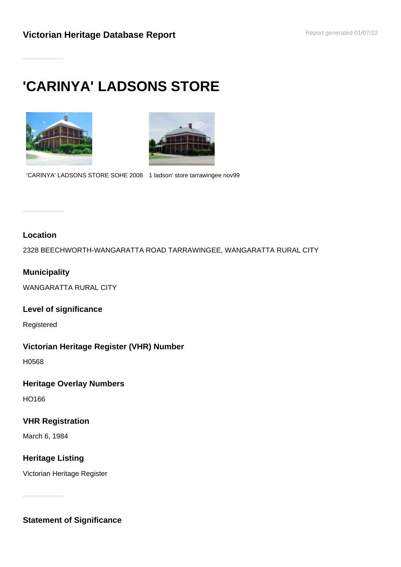# **'CARINYA' LADSONS STORE**



'CARINYA' LADSONS STORE SOHE 2008 1 ladson' store tarrawingee nov99

## **Location**

2328 BEECHWORTH-WANGARATTA ROAD TARRAWINGEE, WANGARATTA RURAL CITY

## **Municipality**

WANGARATTA RURAL CITY

**Level of significance**

Registered

#### **Victorian Heritage Register (VHR) Number**

H0568

#### **Heritage Overlay Numbers**

HO166

#### **VHR Registration**

March 6, 1984

## **Heritage Listing**

Victorian Heritage Register

**Statement of Significance**